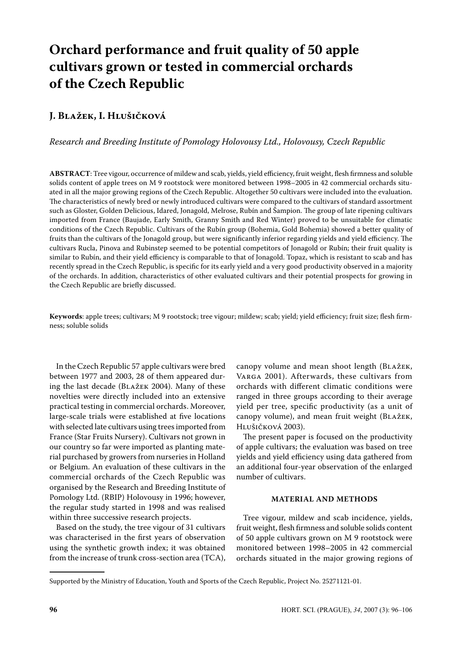# **Orchard performance and fruit quality of 50 apple cultivars grown or tested in commercial orchards of the Czech Republic**

# **J. Blažek, I. Hlušičková**

*Research and Breeding Institute of Pomology Holovousy Ltd., Holovousy, Czech Republic*

**Abstract**: Tree vigour, occurrence of mildew and scab, yields, yield efficiency, fruit weight, flesh firmness and soluble solids content of apple trees on M 9 rootstock were monitored between 1998–2005 in 42 commercial orchards situated in all the major growing regions of the Czech Republic. Altogether 50 cultivars were included into the evaluation. The characteristics of newly bred or newly introduced cultivars were compared to the cultivars of standard assortment such as Gloster, Golden Delicious, Idared, Jonagold, Melrose, Rubín and Šampion. The group of late ripening cultivars imported from France (Baujade, Early Smith, Granny Smith and Red Winter) proved to be unsuitable for climatic conditions of the Czech Republic. Cultivars of the Rubín group (Bohemia, Gold Bohemia) showed a better quality of fruits than the cultivars of the Jonagold group, but were significantly inferior regarding yields and yield efficiency. The cultivars Rucla, Pinova and Rubinstep seemed to be potential competitors of Jonagold or Rubín; their fruit quality is similar to Rubín, and their yield efficiency is comparable to that of Jonagold. Topaz, which is resistant to scab and has recently spread in the Czech Republic, is specific for its early yield and a very good productivity observed in a majority of the orchards. In addition, characteristics of other evaluated cultivars and their potential prospects for growing in the Czech Republic are briefly discussed.

**Keywords**: apple trees; cultivars; M 9 rootstock; tree vigour; mildew; scab; yield; yield efficiency; fruit size; flesh firmness; soluble solids

In the Czech Republic 57 apple cultivars were bred between 1977 and 2003, 28 of them appeared during the last decade (Blažek 2004). Many of these novelties were directly included into an extensive practical testing in commercial orchards. Moreover, large-scale trials were established at five locations with selected late cultivars using trees imported from France (Star Fruits Nursery). Cultivars not grown in our country so far were imported as planting material purchased by growers from nurseries in Holland or Belgium. An evaluation of these cultivars in the commercial orchards of the Czech Republic was organised by the Research and Breeding Institute of Pomology Ltd. (RBIP) Holovousy in 1996; however, the regular study started in 1998 and was realised within three successive research projects.

Based on the study, the tree vigour of 31 cultivars was characterised in the first years of observation using the synthetic growth index; it was obtained from the increase of trunk cross-section area (TCA), canopy volume and mean shoot length (Blažek, Varga 2001). Afterwards, these cultivars from orchards with different climatic conditions were ranged in three groups according to their average yield per tree, specific productivity (as a unit of canopy volume), and mean fruit weight (Blažek, Hlušičková 2003).

The present paper is focused on the productivity of apple cultivars; the evaluation was based on tree yields and yield efficiency using data gathered from an additional four-year observation of the enlarged number of cultivars.

# **MateriAl aND methods**

Tree vigour, mildew and scab incidence, yields, fruit weight, flesh firmness and soluble solids content of 50 apple cultivars grown on M 9 rootstock were monitored between 1998–2005 in 42 commercial orchards situated in the major growing regions of

Supported by the Ministry of Education, Youth and Sports of the Czech Republic, Project No. 25271121-01.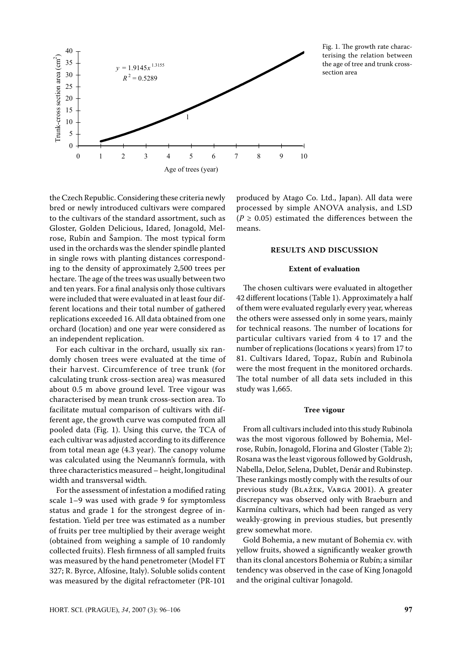

Fig. 1. The growth rate characterising the relation between the age of tree and trunk crosssection area

the Czech Republic. Considering these criteria newly bred or newly introduced cultivars were compared to the cultivars of the standard assortment, such as Gloster, Golden Delicious, Idared, Jonagold, Melrose, Rubín and Šampion. The most typical form used in the orchards was the slender spindle planted in single rows with planting distances corresponding to the density of approximately 2,500 trees per hectare. The age of the trees was usually between two and ten years. For a final analysis only those cultivars were included that were evaluated in at least four different locations and their total number of gathered replications exceeded 16. All data obtained from one orchard (location) and one year were considered as an independent replication.

For each cultivar in the orchard, usually six randomly chosen trees were evaluated at the time of their harvest. Circumference of tree trunk (for calculating trunk cross-section area) was measured about 0.5 m above ground level. Tree vigour was characterised by mean trunk cross-section area. To facilitate mutual comparison of cultivars with different age, the growth curve was computed from all pooled data (Fig. 1). Using this curve, the TCA of each cultivar was adjusted according to its difference from total mean age (4.3 year). The canopy volume was calculated using the Neumann's formula, with three characteristics measured – height, longitudinal width and transversal width.

For the assessment of infestation a modified rating scale 1–9 was used with grade 9 for symptomless status and grade 1 for the strongest degree of infestation. Yield per tree was estimated as a number of fruits per tree multiplied by their average weight (obtained from weighing a sample of 10 randomly collected fruits). Flesh firmness of all sampled fruits was measured by the hand penetrometer (Model FT 327; R. Byrce, Alfosine, Italy). Soluble solids content was measured by the digital refractometer (PR-101

produced by Atago Co. Ltd., Japan). All data were processed by simple ANOVA analysis, and LSD  $(P \ge 0.05)$  estimated the differences between the means.

# **RESULTS AND DISCUSSION**

#### **Extent of evaluation**

The chosen cultivars were evaluated in altogether 42 different locations (Table 1). Approximately a half of them were evaluated regularly every year, whereas the others were assessed only in some years, mainly for technical reasons. The number of locations for particular cultivars varied from 4 to 17 and the number of replications (locations × years) from 17 to 81. Cultivars Idared, Topaz, Rubín and Rubinola were the most frequent in the monitored orchards. The total number of all data sets included in this study was 1,665.

#### **Tree vigour**

From all cultivars included into this study Rubinola was the most vigorous followed by Bohemia, Melrose, Rubín, Jonagold, Florina and Gloster (Table 2); Rosana was the least vigorous followed by Goldrush, Nabella, Delor, Selena, Dublet, Denár and Rubinstep. These rankings mostly comply with the results of our previous study (Blažek, Varga 2001). A greater discrepancy was observed only with Braeburn and Karmína cultivars, which had been ranged as very weakly-growing in previous studies, but presently grew somewhat more.

Gold Bohemia, a new mutant of Bohemia cv. with yellow fruits, showed a significantly weaker growth than its clonal ancestors Bohemia or Rubín; a similar tendency was observed in the case of King Jonagold and the original cultivar Jonagold.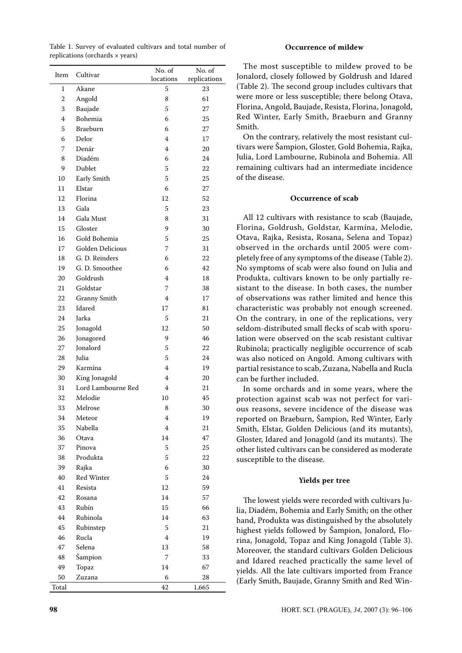| Item           | Cultivar            | No. of         | No. of             |
|----------------|---------------------|----------------|--------------------|
| 1              | Akane               | locations<br>5 | replications<br>23 |
| $\overline{2}$ | Angold              | 8              | 61                 |
| 3              | Baujade             | 5              | 27                 |
| 4              | Bohemia             | 6              | 25                 |
| 5              | Braeburn            | 6              | 27                 |
| 6              | Delor               | 4              | 17                 |
| 7              |                     |                |                    |
|                | Denár<br>Diadém     | 4              | 20                 |
| 8              |                     | 6              | 24                 |
| 9              | Dublet              | 5              | 22                 |
| 10             | Early Smith         | 5              | 25                 |
| 11             | Elstar              | 6              | 27                 |
| 12             | Florina             | 12             | 52                 |
| 13             | Gala                | 5              | 23                 |
| 14             | Gala Must           | 8              | 31                 |
| 15             | Gloster             | 9              | 30                 |
| 16             | Gold Bohemia        | 5              | 25                 |
| 17             | Golden Delicious    | 7              | 31                 |
| 18             | G. D. Reinders      | 6              | 22                 |
| 19             | G. D. Smoothee      | 6              | 42                 |
| 20             | Goldrush            | 4              | 18                 |
| 21             | Goldstar            | 7              | 38                 |
| 22             | <b>Granny Smith</b> | 4              | 17                 |
| 23             | Idared              | 17             | 81                 |
| 24             | Jarka               | 5              | 21                 |
| 25             | Jonagold            | 12             | 50                 |
| 26             | Jonagored           | 9              | 46                 |
| 27             | Jonalord            | 5              | 22                 |
| 28             | Julia               | 5              | 24                 |
| 29             | Karmína             | 4              | 19                 |
| 30             | King Jonagold       | 4              | 20                 |
| 31             | Lord Lambourne Red  | 4              | 21                 |
| 32             | Melodie             | 10             | 45                 |
| 33             | Melrose             | 8              | 30                 |
| 34             | Meteor              | 4              | 19                 |
| 35             | Nabella             | $\overline{4}$ | 21                 |
| 36             | Otava               | 14             | 47                 |
| 37             | Pinova              | 5              | 25                 |
| 38             | Produkta            | 5              | 22                 |
| 39             | Rajka               | 6              | 30                 |
| 40             | Red Winter          | 5              | 24                 |
| 41             | Resista             | 12             | 59                 |
| 42             | Rosana              | 14             | 57                 |
| 43             | Rubín               | 15             | 66                 |
| 44             | Rubinola            | 14             | 63                 |
| 45             | Rubinstep           | 5              | 21                 |
| 46             | Rucla               | 4              | 19                 |
| 47             | Selena              | 13             | 58                 |
| 48             | Šampion             | 7              | 33                 |
| 49             | Topaz               | 14             | 67                 |
| 50             | Zuzana              | 6              | 28                 |
| Total          |                     | 42             | 1,665              |

Table 1. Survey of evaluated cultivars and total number of replications (orchards × years)

#### **Occurrence of mildew**

The most susceptible to mildew proved to be Jonalord, closely followed by Goldrush and Idared (Table 2). The second group includes cultivars that were more or less susceptible; there belong Otava, Florina, Angold, Baujade, Resista, Florina, Jonagold, Red Winter, Early Smith, Braeburn and Granny Smith.

On the contrary, relatively the most resistant cultivars were Šampion, Gloster, Gold Bohemia, Rajka, Julia, Lord Lambourne, Rubinola and Bohemia. All remaining cultivars had an intermediate incidence of the disease.

#### **Occurrence of scab**

All 12 cultivars with resistance to scab (Baujade, Florina, Goldrush, Goldstar, Karmína, Melodie, Otava, Rajka, Resista, Rosana, Selena and Topaz) observed in the orchards until 2005 were completely free of any symptoms of the disease (Table 2). No symptoms of scab were also found on Julia and Produkta, cultivars known to be only partially resistant to the disease. In both cases, the number of observations was rather limited and hence this characteristic was probably not enough screened. On the contrary, in one of the replications, very seldom-distributed small flecks of scab with sporulation were observed on the scab resistant cultivar Rubinola; practically negligible occurrence of scab was also noticed on Angold. Among cultivars with partial resistance to scab, Zuzana, Nabella and Rucla can be further included.

In some orchards and in some years, where the protection against scab was not perfect for various reasons, severe incidence of the disease was reported on Braeburn, Šampion, Red Winter, Early Smith, Elstar, Golden Delicious (and its mutants), Gloster, Idared and Jonagold (and its mutants). The other listed cultivars can be considered as moderate susceptible to the disease.

#### **Yields per tree**

The lowest yields were recorded with cultivars Julia, Diadém, Bohemia and Early Smith; on the other hand, Produkta was distinguished by the absolutely highest yields followed by Šampion, Jonalord, Florina, Jonagold, Topaz and King Jonagold (Table 3). Moreover, the standard cultivars Golden Delicious and Idared reached practically the same level of yields. All the late cultivars imported from France (Early Smith, Baujade, Granny Smith and Red Win-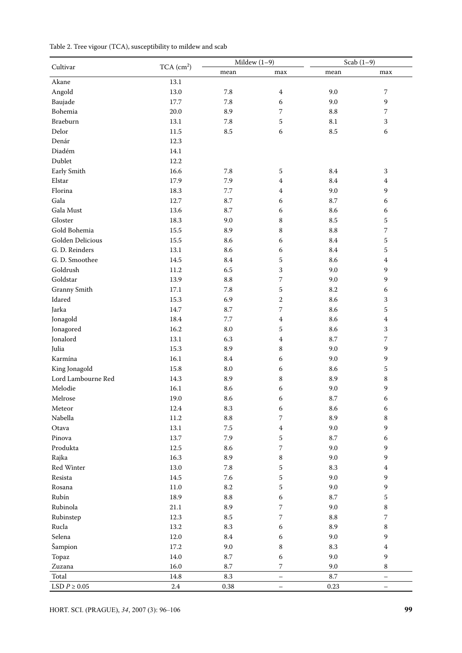|  | Table 2. Tree vigour (TCA), susceptibility to mildew and scab |  |
|--|---------------------------------------------------------------|--|
|--|---------------------------------------------------------------|--|

|                     |                          | Mildew $(1-9)$  |                          | Scab $(1-9)$    |                          |  |
|---------------------|--------------------------|-----------------|--------------------------|-----------------|--------------------------|--|
| Cultivar            | $TCA$ (cm <sup>2</sup> ) |                 | max                      | mean            | max                      |  |
| Akane               | 13.1                     |                 |                          |                 |                          |  |
| Angold              | 13.0                     | 7.8             | 4                        | 9.0             | 7                        |  |
| Baujade             | 17.7                     | 7.8             | 6                        | 9.0             | 9                        |  |
| Bohemia             | $20.0\,$                 | 8.9             | 7                        | $\!\!\!\!\!8.8$ | 7                        |  |
| Braeburn            | 13.1                     | 7.8             | 5                        | 8.1             | 3                        |  |
| Delor               | 11.5                     | 8.5             | 6                        | 8.5             | 6                        |  |
| Denár               | 12.3                     |                 |                          |                 |                          |  |
| Diadém              | 14.1                     |                 |                          |                 |                          |  |
| Dublet              | 12.2                     |                 |                          |                 |                          |  |
| Early Smith         | 16.6                     | 7.8             | 5                        | 8.4             | $\,$ 3 $\,$              |  |
| Elstar              | 17.9                     | 7.9             | 4                        | 8.4             | $\overline{4}$           |  |
| Florina             | 18.3                     | 7.7             | 4                        | 9.0             | 9                        |  |
| Gala                | 12.7                     | 8.7             | 6                        | 8.7             | 6                        |  |
| Gala Must           | 13.6                     | 8.7             | 6                        | 8.6             | 6                        |  |
| Gloster             | 18.3                     | 9.0             | 8                        | 8.5             | 5                        |  |
| Gold Bohemia        | 15.5                     | 8.9             | 8                        | 8.8             | 7                        |  |
| Golden Delicious    | 15.5                     | 8.6             | 6                        | 8.4             | 5                        |  |
| G. D. Reinders      | 13.1                     | 8.6             | 6                        | $\ \, 8.4$      | 5                        |  |
| G.D. Smoothee       | 14.5                     | 8.4             | 5                        | 8.6             | $\overline{4}$           |  |
| Goldrush            | $11.2\,$                 | 6.5             | 3                        | 9.0             | 9                        |  |
| Goldstar            | 13.9                     | 8.8             | 7                        | 9.0             | 9                        |  |
| <b>Granny Smith</b> | 17.1                     | 7.8             | 5                        | 8.2             | 6                        |  |
| Idared              | 15.3                     | 6.9             | $\overline{2}$           | 8.6             | 3                        |  |
| Jarka               | 14.7                     | 8.7             | 7                        | 8.6             | 5                        |  |
| Jonagold            | 18.4                     | 7.7             | 4                        | 8.6             | $\overline{4}$           |  |
| Jonagored           | 16.2                     | $\rm 8.0$       | 5                        | 8.6             | $\,$ 3 $\,$              |  |
| Jonalord            | 13.1                     | 6.3             | 4                        | 8.7             | $\overline{7}$           |  |
| Julia               | 15.3                     | 8.9             | 8                        | 9.0             | 9                        |  |
| Karmína             | 16.1                     | 8.4             | 6                        | 9.0             | 9                        |  |
| King Jonagold       | 15.8                     | 8.0             | 6                        | 8.6             | 5                        |  |
| Lord Lambourne Red  | 14.3                     | 8.9             | 8                        | 8.9             | 8                        |  |
| Melodie             | 16.1                     | 8.6             | 6                        | 9.0             | 9                        |  |
| Melrose             | 19.0                     | 8.6             | 6                        | 8.7             | 6                        |  |
| Meteor              | 12.4                     | $\ \, 8.3$      | 6                        | 8.6             | $\boldsymbol{6}$         |  |
| Nabella             | $11.2\,$                 | $\!\!\!\!\!8.8$ | 7                        | 8.9             | $\,$ 8 $\,$              |  |
| Otava               | $13.1\,$                 | $7.5\,$         | 4                        | 9.0             | 9                        |  |
| Pinova              | 13.7                     | 7.9             | 5                        | 8.7             | 6                        |  |
| Produkta            | $12.5\,$                 | 8.6             | 7                        | 9.0             | 9                        |  |
| Rajka               | 16.3                     | 8.9             | 8                        | 9.0             | 9                        |  |
| Red Winter          | $13.0\,$                 | $7.8\,$         | 5                        | $\ \, 8.3$      | $\overline{4}$           |  |
| Resista             | $14.5\,$                 | 7.6             | 5                        | 9.0             | 9                        |  |
| Rosana              | $11.0\,$                 | $\rm 8.2$       | 5                        | 9.0             | 9                        |  |
| Rubín               | 18.9                     | $\!\!\!\!\!8.8$ | 6                        | 8.7             | $\sqrt{5}$               |  |
| Rubinola            | $21.1\,$                 | 8.9             | $\overline{7}$           | 9.0             | $\, 8$                   |  |
| Rubinstep           | 12.3                     | $\ \, 8.5$      | 7                        | $\!\!\!\!\!8.8$ | $\overline{7}$           |  |
| Rucla               | $13.2\,$                 | 8.3             | 6                        | 8.9             | $\,8\,$                  |  |
| Selena              | $12.0\,$                 | $\ \, 8.4$      | 6                        | 9.0             | 9                        |  |
| Šampion             | 17.2                     | 9.0             | $\,8\,$                  | 8.3             | $\overline{4}$           |  |
| Topaz               | 14.0                     | $8.7\,$         | 6                        | 9.0             | $\boldsymbol{9}$         |  |
| Zuzana              | 16.0                     | 8.7             | 7                        | 9.0             | $\,8\,$                  |  |
| Total               | 14.8                     | 8.3             | $\overline{\phantom{0}}$ | 8.7             | $\overline{\phantom{0}}$ |  |
| LSD $P \geq 0.05$   | $2.4\,$                  | $0.38\,$        | $\overline{\phantom{0}}$ | $0.23\,$        | $\overline{\phantom{0}}$ |  |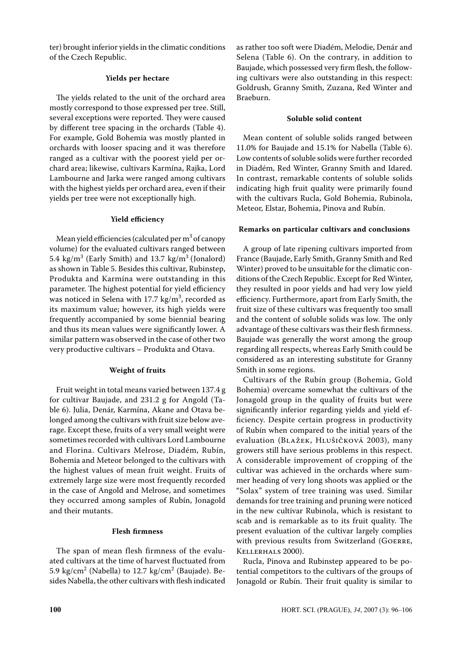ter) brought inferior yields in the climatic conditions of the Czech Republic.

## **Yields per hectare**

The yields related to the unit of the orchard area mostly correspond to those expressed per tree. Still, several exceptions were reported. They were caused by different tree spacing in the orchards (Table 4). For example, Gold Bohemia was mostly planted in orchards with looser spacing and it was therefore ranged as a cultivar with the poorest yield per orchard area; likewise, cultivars Karmína, Rajka, Lord Lambourne and Jarka were ranged among cultivars with the highest yields per orchard area, even if their yields per tree were not exceptionally high.

#### **Yield efficiency**

Mean yield efficiencies (calculated per  $\mathrm{m}^{3}$  of canopy volume) for the evaluated cultivars ranged between 5.4 kg/m<sup>3</sup> (Early Smith) and 13.7 kg/m<sup>3</sup> (Jonalord) as shown in Table 5. Besides this cultivar, Rubinstep, Produkta and Karmína were outstanding in this parameter. The highest potential for yield efficiency was noticed in Selena with 17.7 kg/m<sup>3</sup>, recorded as its maximum value; however, its high yields were frequently accompanied by some biennial bearing and thus its mean values were significantly lower. A similar pattern was observed in the case of other two very productive cultivars – Produkta and Otava.

# **Weight of fruits**

Fruit weight in total means varied between 137.4 g for cultivar Baujade, and 231.2 g for Angold (Table 6). Julia, Denár, Karmína, Akane and Otava belonged among the cultivars with fruit size below average. Except these, fruits of a very small weight were sometimes recorded with cultivars Lord Lambourne and Florina. Cultivars Melrose, Diadém, Rubín, Bohemia and Meteor belonged to the cultivars with the highest values of mean fruit weight. Fruits of extremely large size were most frequently recorded in the case of Angold and Melrose, and sometimes they occurred among samples of Rubín, Jonagold and their mutants.

# **Flesh firmness**

The span of mean flesh firmness of the evaluated cultivars at the time of harvest fluctuated from 5.9 kg/cm<sup>2</sup> (Nabella) to 12.7 kg/cm<sup>2</sup> (Baujade). Besides Nabella, the other cultivars with flesh indicated

as rather too soft were Diadém, Melodie, Denár and Selena (Table 6). On the contrary, in addition to Baujade, which possessed very firm flesh, the following cultivars were also outstanding in this respect: Goldrush, Granny Smith, Zuzana, Red Winter and Braeburn.

# **Soluble solid content**

Mean content of soluble solids ranged between 11.0% for Baujade and 15.1% for Nabella (Table 6). Low contents of soluble solids were further recorded in Diadém, Red Winter, Granny Smith and Idared. In contrast, remarkable contents of soluble solids indicating high fruit quality were primarily found with the cultivars Rucla, Gold Bohemia, Rubinola, Meteor, Elstar, Bohemia, Pinova and Rubín.

#### **Remarks on particular cultivars and conclusions**

A group of late ripening cultivars imported from France (Baujade, Early Smith, Granny Smith and Red Winter) proved to be unsuitable for the climatic conditions of the Czech Republic. Except for Red Winter, they resulted in poor yields and had very low yield efficiency. Furthermore, apart from Early Smith, the fruit size of these cultivars was frequently too small and the content of soluble solids was low. The only advantage of these cultivars was their flesh firmness. Baujade was generally the worst among the group regarding all respects, whereas Early Smith could be considered as an interesting substitute for Granny Smith in some regions.

Cultivars of the Rubín group (Bohemia, Gold Bohemia) overcame somewhat the cultivars of the Jonagold group in the quality of fruits but were significantly inferior regarding yields and yield efficiency. Despite certain progress in productivity of Rubín when compared to the initial years of the evaluation (Blažek, Hlušičková 2003), many growers still have serious problems in this respect. A considerable improvement of cropping of the cultivar was achieved in the orchards where summer heading of very long shoots was applied or the "Solax" system of tree training was used. Similar demands for tree training and pruning were noticed in the new cultivar Rubinola, which is resistant to scab and is remarkable as to its fruit quality. The present evaluation of the cultivar largely complies with previous results from Switzerland (GOERRE, Kellerhals 2000).

Rucla, Pinova and Rubinstep appeared to be potential competitors to the cultivars of the groups of Jonagold or Rubín. Their fruit quality is similar to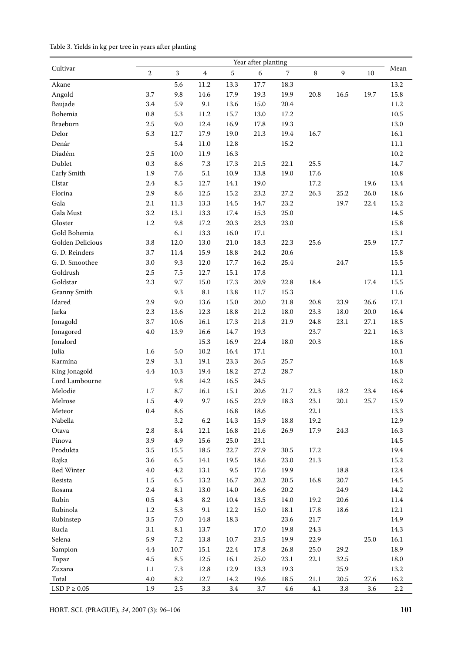| Table 3. Yields in kg per tree in years after planting |  |  |  |
|--------------------------------------------------------|--|--|--|
|--------------------------------------------------------|--|--|--|

|                     |                  |            |           |          | Year after planting |                |          |                |      |          |
|---------------------|------------------|------------|-----------|----------|---------------------|----------------|----------|----------------|------|----------|
| Cultivar            | $\boldsymbol{2}$ | 3          | $\bf 4$   | 5        | 6                   | $\overline{7}$ | $\,8\,$  | $\overline{9}$ | 10   | Mean     |
| Akane               |                  | 5.6        | 11.2      | 13.3     | 17.7                | 18.3           |          |                |      | 13.2     |
| Angold              | 3.7              | 9.8        | 14.6      | 17.9     | 19.3                | 19.9           | 20.8     | 16.5           | 19.7 | 15.8     |
| Baujade             | 3.4              | 5.9        | 9.1       | 13.6     | 15.0                | 20.4           |          |                |      | 11.2     |
| Bohemia             | 0.8              | 5.3        | 11.2      | 15.7     | 13.0                | 17.2           |          |                |      | 10.5     |
| Braeburn            | 2.5              | 9.0        | 12.4      | 16.9     | 17.8                | 19.3           |          |                |      | 13.0     |
| Delor               | 5.3              | 12.7       | 17.9      | 19.0     | 21.3                | 19.4           | 16.7     |                |      | 16.1     |
| Denár               |                  | 5.4        | 11.0      | 12.8     |                     | 15.2           |          |                |      | 11.1     |
| Diadém              | $2.5\,$          | 10.0       | 11.9      | 16.3     |                     |                |          |                |      | 10.2     |
| Dublet              | 0.3              | 8.6        | $7.3\,$   | 17.3     | $21.5\,$            | 22.1           | 25.5     |                |      | 14.7     |
| Early Smith         | 1.9              | 7.6        | $5.1\,$   | 10.9     | 13.8                | 19.0           | 17.6     |                |      | 10.8     |
| Elstar              | 2.4              | 8.5        | 12.7      | 14.1     | 19.0                |                | 17.2     |                | 19.6 | 13.4     |
| Florina             | 2.9              | 8.6        | 12.5      | 15.2     | 23.2                | 27.2           | 26.3     | 25.2           | 26.0 | 18.6     |
| Gala                | $2.1\,$          | 11.3       | 13.3      | 14.5     | 14.7                | 23.2           |          | 19.7           | 22.4 | 15.2     |
| Gala Must           | $3.2\,$          | 13.1       | 13.3      | 17.4     | 15.3                | 25.0           |          |                |      | 14.5     |
| Gloster             | $1.2\,$          | 9.8        | 17.2      | 20.3     | 23.3                | 23.0           |          |                |      | 15.8     |
| Gold Bohemia        |                  | 6.1        | 13.3      | 16.0     | 17.1                |                |          |                |      | 13.1     |
| Golden Delicious    | $3.8\,$          | 12.0       | 13.0      | 21.0     | 18.3                | 22.3           | 25.6     |                | 25.9 | 17.7     |
| G. D. Reinders      | 3.7              | 11.4       | 15.9      | 18.8     | 24.2                | 20.6           |          |                |      | 15.8     |
| G.D. Smoothee       | $3.0\,$          | 9.3        | 12.0      | 17.7     | 16.2                | 25.4           |          | 24.7           |      | 15.5     |
| Goldrush            | 2.5              | $7.5\,$    | 12.7      | 15.1     | 17.8                |                |          |                |      | 11.1     |
| Goldstar            | 2.3              | 9.7        | 15.0      | 17.3     | 20.9                | 22.8           | 18.4     |                | 17.4 | 15.5     |
| <b>Granny Smith</b> |                  | 9.3        | $\ \ 8.1$ | 13.8     | 11.7                | 15.3           |          |                |      | 11.6     |
| Idared              | 2.9              | 9.0        | 13.6      | 15.0     | 20.0                | 21.8           | 20.8     | 23.9           | 26.6 | 17.1     |
| Jarka               | 2.3              | 13.6       | 12.3      | 18.8     | 21.2                | 18.0           | 23.3     | 18.0           | 20.0 | 16.4     |
| Jonagold            | 3.7              | 10.6       | 16.1      | 17.3     | 21.8                | 21.9           | 24.8     | 23.1           | 27.1 | 18.5     |
| Jonagored           | 4.0              | 13.9       | 16.6      | 14.7     | 19.3                |                | 23.7     |                | 22.1 | 16.3     |
| Jonalord            |                  |            | 15.3      | 16.9     | 22.4                | 18.0           | 20.3     |                |      | 18.6     |
| Julia               | 1.6              | 5.0        | $10.2\,$  | 16.4     | 17.1                |                |          |                |      | $10.1\,$ |
| Karmína             | 2.9              | 3.1        | 19.1      | 23.3     | 26.5                | 25.7           |          |                |      | 16.8     |
| King Jonagold       | 4.4              | 10.3       | 19.4      | 18.2     | 27.2                | 28.7           |          |                |      | 18.0     |
| Lord Lambourne      |                  | 9.8        | 14.2      | 16.5     | 24.5                |                |          |                |      | 16.2     |
| Melodie             | 1.7              | 8.7        | 16.1      | 15.1     | 20.6                | 21.7           | 22.3     | 18.2           | 23.4 | 16.4     |
| Melrose             | 1.5              | 4.9        | 9.7       | 16.5     | 22.9                | 18.3           | 23.1     | 20.1           | 25.7 | 15.9     |
| Meteor              | $0.4\,$          | 8.6        |           | 16.8     | 18.6                |                | 22.1     |                |      | 13.3     |
| Nabella             |                  | $3.2\,$    | $6.2\,$   | 14.3     | 15.9                | 18.8           | 19.2     |                |      | 12.9     |
| Otava               | 2.8              | $\ \, 8.4$ | 12.1      | 16.8     | 21.6                | 26.9           | 17.9     | 24.3           |      | 16.3     |
| Pinova              | 3.9              | 4.9        | 15.6      | $25.0\,$ | $23.1\,$            |                |          |                |      | 14.5     |
| Produkta            | $3.5\,$          | 15.5       | 18.5      | 22.7     | 27.9                | $30.5\,$       | 17.2     |                |      | 19.4     |
| Rajka               | 3.6              | 6.5        | 14.1      | 19.5     | 18.6                | 23.0           | 21.3     |                |      | $15.2\,$ |
| Red Winter          | $4.0\,$          | 4.2        | 13.1      | 9.5      | 17.6                | 19.9           |          | 18.8           |      | 12.4     |
| Resista             | $1.5\,$          | 6.5        | 13.2      | 16.7     | $20.2\,$            | $20.5\,$       | 16.8     | 20.7           |      | 14.5     |
| Rosana              | $2.4\,$          | $8.1\,$    | 13.0      | 14.0     | 16.6                | $20.2\,$       |          | 24.9           |      | 14.2     |
| Rubín               | $0.5\,$          | $4.3\,$    | $\rm 8.2$ | 10.4     | $13.5\,$            | 14.0           | 19.2     | $20.6\,$       |      | 11.4     |
| Rubinola            | $1.2\,$          | 5.3        | 9.1       | 12.2     | 15.0                | 18.1           | 17.8     | 18.6           |      | 12.1     |
| Rubinstep           | $3.5\,$          | $7.0\,$    | 14.8      | 18.3     |                     | 23.6           | 21.7     |                |      | 14.9     |
| Rucla               | $3.1\,$          | $8.1\,$    | 13.7      |          | 17.0                | 19.8           | 24.3     |                |      | 14.3     |
| Selena              | 5.9              | $7.2\,$    | 13.8      | 10.7     | $23.5\,$            | 19.9           | 22.9     |                | 25.0 | 16.1     |
| Šampion             | $4.4\,$          | $10.7\,$   | $15.1\,$  | 22.4     | 17.8                | 26.8           | $25.0\,$ | 29.2           |      | 18.9     |
| Topaz               | $4.5\,$          | 8.5        | 12.5      | 16.1     | $25.0\,$            | $23.1\,$       | 22.1     | 32.5           |      | $18.0\,$ |
| Zuzana              | $1.1\,$          | $7.3\,$    | 12.8      | 12.9     | $13.3\,$            | 19.3           |          | 25.9           |      | $13.2\,$ |
| Total               | $4.0\,$          | 8.2        | 12.7      | 14.2     | 19.6                | 18.5           | 21.1     | $20.5\,$       | 27.6 | 16.2     |
| LSD $P \geq 0.05$   | 1.9              | 2.5        | $3.3\,$   | 3.4      | $3.7\,$             | $4.6\,$        | 4.1      | $3.8\,$        | 3.6  | $2.2\,$  |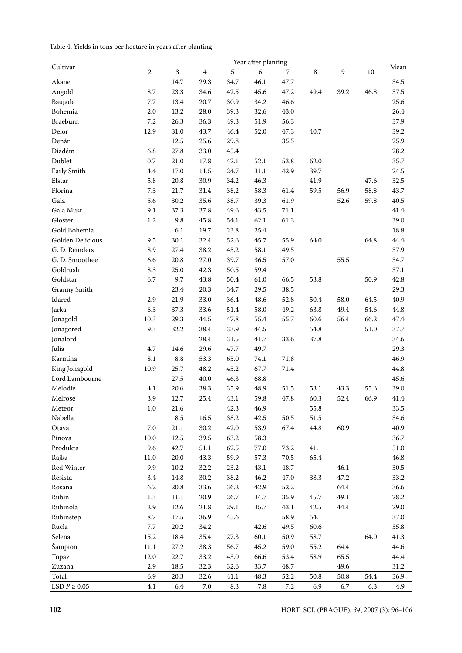| Table 4. Yields in tons per hectare in years after planting |  |
|-------------------------------------------------------------|--|
|-------------------------------------------------------------|--|

| Year after planting                                                                                                                                                      |                            |
|--------------------------------------------------------------------------------------------------------------------------------------------------------------------------|----------------------------|
| Cultivar<br>6<br>$\,$ 3 $\,$<br>$\sqrt{5}$<br>$\,2$<br>$\,8\,$<br>9<br>4<br>$\overline{7}$                                                                               | Mean<br>$10\,$             |
| 34.7<br>46.1<br>Akane<br>14.7<br>29.3<br>47.7                                                                                                                            | 34.5                       |
| 23.3<br>45.6<br>Angold<br>8.7<br>34.6<br>42.5<br>47.2<br>49.4<br>39.2                                                                                                    | 37.5<br>46.8               |
| 13.4<br>30.9<br>34.2<br>46.6<br>Baujade<br>7.7<br>20.7                                                                                                                   | 25.6                       |
| Bohemia<br>2.0<br>13.2<br>28.0<br>39.3<br>32.6<br>43.0                                                                                                                   | 26.4                       |
| Braeburn<br>7.2<br>26.3<br>36.3<br>56.3<br>49.3<br>51.9                                                                                                                  | 37.9                       |
| Delor<br>12.9<br>31.0<br>47.3<br>43.7<br>46.4<br>52.0<br>40.7                                                                                                            | 39.2                       |
| Denár<br>12.5<br>29.8<br>35.5<br>25.6                                                                                                                                    | 25.9                       |
| Diadém<br>6.8<br>27.8<br>45.4<br>33.0                                                                                                                                    | 28.2                       |
| Dublet<br>0.7<br>53.8<br>62.0<br>21.0<br>17.8<br>42.1<br>52.1                                                                                                            | 35.7                       |
| 17.0<br>31.1<br>39.7<br>Early Smith<br>4.4<br>11.5<br>24.7<br>42.9                                                                                                       | 24.5                       |
| 5.8<br>20.8<br>30.9<br>46.3<br>41.9<br>Elstar<br>34.2                                                                                                                    | 32.5<br>47.6               |
| Florina<br>$7.3\,$<br>21.7<br>58.3<br>59.5<br>31.4<br>38.2<br>61.4<br>56.9                                                                                               | 58.8<br>43.7               |
| Gala<br>5.6<br>30.2<br>38.7<br>39.3<br>61.9<br>52.6<br>35.6                                                                                                              | 40.5<br>59.8               |
| Gala Must<br>9.1<br>37.3<br>37.8<br>49.6<br>43.5<br>71.1                                                                                                                 | 41.4                       |
| $1.2\,$<br>Gloster<br>9.8<br>45.8<br>54.1<br>62.1<br>61.3                                                                                                                | 39.0                       |
| Gold Bohemia<br>6.1<br>23.8<br>25.4<br>19.7                                                                                                                              | 18.8                       |
| <b>Golden Delicious</b><br>30.1<br>52.6<br>45.7<br>55.9<br>9.5<br>32.4<br>64.0                                                                                           | 44.4<br>64.8               |
| G. D. Reinders<br>27.4<br>45.2<br>58.1<br>49.5<br>8.9<br>38.2                                                                                                            | 37.9                       |
| G.D. Smoothee<br>6.6<br>20.8<br>27.0<br>39.7<br>36.5<br>57.0<br>55.5                                                                                                     | 34.7                       |
| Goldrush<br>8.3<br>25.0<br>42.3<br>50.5<br>59.4                                                                                                                          | 37.1                       |
| Goldstar<br>6.7<br>9.7<br>43.8<br>50.4<br>61.0<br>66.5<br>53.8                                                                                                           | 50.9<br>42.8               |
| 23.4<br>29.5<br>38.5<br><b>Granny Smith</b><br>20.3<br>34.7                                                                                                              | 29.3                       |
| Idared<br>2.9<br>48.6<br>52.8<br>21.9<br>33.0<br>36.4<br>50.4<br>58.0                                                                                                    | 40.9<br>64.5               |
| Jarka<br>6.3<br>37.3<br>58.0<br>63.8<br>49.4<br>33.6<br>51.4<br>49.2                                                                                                     | 44.8<br>54.6               |
| 10.3<br>29.3<br>47.8<br>55.4<br>60.6<br>Jonagold<br>44.5<br>55.7<br>56.4                                                                                                 | 47.4<br>66.2               |
| 9.3<br>32.2<br>38.4<br>Jonagored<br>33.9<br>44.5<br>54.8                                                                                                                 | 37.7<br>51.0               |
| Jonalord<br>33.6<br>37.8<br>28.4<br>31.5<br>41.7                                                                                                                         | 34.6                       |
| Julia<br>29.6<br>49.7<br>4.7<br>14.6<br>47.7                                                                                                                             | 29.3                       |
| 8.1<br>8.8<br>53.3<br>71.8<br>Karmína<br>65.0<br>74.1                                                                                                                    | 46.9                       |
| 10.9<br>25.7<br>67.7<br>King Jonagold<br>48.2<br>45.2<br>71.4                                                                                                            | 44.8                       |
| Lord Lambourne<br>68.8<br>27.5<br>40.0<br>46.3                                                                                                                           | 45.6                       |
| Melodie<br>4.1<br>20.6<br>38.3<br>35.9<br>48.9<br>51.5<br>53.1<br>43.3                                                                                                   | 55.6<br>39.0               |
| 3.9<br>59.8<br>47.8<br>52.4<br>Melrose<br>12.7<br>25.4<br>43.1<br>60.3                                                                                                   | 66.9<br>41.4               |
| Meteor<br>$1.0\,$<br>21.6<br>42.3<br>46.9<br>55.8                                                                                                                        | 33.5                       |
| Nabella<br>$\ \, 8.5$<br>16.5<br>38.2<br>42.5<br>$50.5\,$<br>51.5                                                                                                        | 34.6                       |
| 60.9<br>Otava<br>7.0<br>$21.1\,$<br>$30.2\,$<br>42.0<br>53.9<br>67.4<br>44.8                                                                                             | 40.9                       |
| Pinova<br>$10.0\,$<br>12.5<br>39.5<br>63.2<br>58.3                                                                                                                       | 36.7                       |
| 9.6<br>Produkta<br>42.7<br>62.5<br>$77.0\,$<br>73.2<br>41.1<br>51.1                                                                                                      | $51.0\,$                   |
| Rajka<br>$11.0\,$<br>$20.0\,$<br>43.3<br>59.9<br>57.3<br>$70.5\,$<br>65.4                                                                                                | 46.8                       |
| 9.9<br>$10.2\,$<br>46.1<br>Red Winter<br>$32.2\,$<br>23.2<br>43.1<br>48.7                                                                                                | $30.5\,$                   |
| 47.2<br>Resista<br>$3.4\,$<br>14.8<br>38.2<br>46.2<br>47.0<br>38.3<br>30.2                                                                                               | 33.2                       |
| 6.2<br>20.8<br>33.6<br>36.2<br>42.9<br>52.2<br>64.4<br>Rosana                                                                                                            | 36.6                       |
| Rubín<br>49.1<br>$1.3\,$<br>$11.1\,$<br>20.9<br>26.7<br>34.7<br>35.9<br>45.7                                                                                             | 28.2                       |
| Rubinola<br>2.9<br>12.6<br>$21.8\,$<br>29.1<br>35.7<br>43.1<br>42.5<br>$44.4\,$                                                                                          | 29.0                       |
| Rubinstep<br>8.7<br>17.5<br>36.9<br>45.6<br>58.9<br>54.1                                                                                                                 | $37.0\,$                   |
| Rucla<br>42.6<br>60.6                                                                                                                                                    | 35.8                       |
| $7.7\,$<br>20.2<br>34.2<br>49.5                                                                                                                                          |                            |
| Selena<br>58.7<br>15.2<br>18.4<br>$35.4\,$<br>27.3<br>60.1<br>50.9                                                                                                       | 41.3<br>64.0               |
| Šampion<br>27.2<br>45.2<br>55.2<br>$11.1\,$<br>38.3<br>56.7<br>59.0<br>64.4                                                                                              | 44.6                       |
| Topaz<br>12.0<br>22.7<br>33.2<br>43.0<br>66.6<br>53.4<br>58.9<br>65.5                                                                                                    | 44.4                       |
| 2.9<br>18.5<br>32.3<br>33.7<br>49.6<br>Zuzana<br>32.6<br>48.7                                                                                                            | $31.2\,$                   |
| 6.9<br>Total<br>$20.3\,$<br>32.6<br>41.1<br>48.3<br>52.2<br>50.8<br>50.8<br>$7.2\,$<br>LSD $P \geq 0.05$<br>4.1<br>6.4<br>$7.0\,$<br>$\ \, 8.3$<br>$7.8\,$<br>6.9<br>6.7 | 36.9<br>54.4<br>6.3<br>4.9 |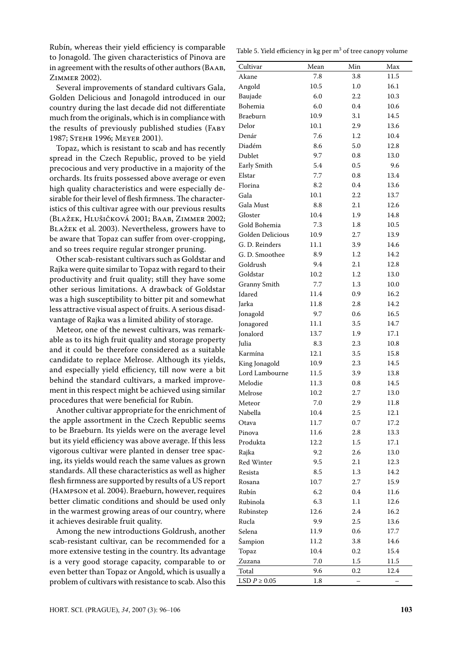Rubín, whereas their yield efficiency is comparable to Jonagold. The given characteristics of Pinova are in agreement with the results of other authors (Baab, Zimmer 2002).

Several improvements of standard cultivars Gala, Golden Delicious and Jonagold introduced in our country during the last decade did not differentiate much from the originals, which is in compliance with the results of previously published studies (Faby 1987; Stehr 1996; Meyer 2001).

Topaz, which is resistant to scab and has recently spread in the Czech Republic, proved to be yield precocious and very productive in a majority of the orchards. Its fruits possessed above average or even high quality characteristics and were especially desirable for their level of flesh firmness. The characteristics of this cultivar agree with our previous results (Blažek, Hlušičková 2001; Baab, Zimmer 2002; Blažek et al. 2003). Nevertheless, growers have to be aware that Topaz can suffer from over-cropping, and so trees require regular stronger pruning.

Other scab-resistant cultivars such as Goldstar and Rajka were quite similar to Topaz with regard to their productivity and fruit quality; still they have some other serious limitations. A drawback of Goldstar was a high susceptibility to bitter pit and somewhat less attractive visual aspect of fruits. A serious disadvantage of Rajka was a limited ability of storage.

Meteor, one of the newest cultivars, was remarkable as to its high fruit quality and storage property and it could be therefore considered as a suitable candidate to replace Melrose. Although its yields, and especially yield efficiency, till now were a bit behind the standard cultivars, a marked improvement in this respect might be achieved using similar procedures that were beneficial for Rubín.

Another cultivar appropriate for the enrichment of the apple assortment in the Czech Republic seems to be Braeburn. Its yields were on the average level but its yield efficiency was above average. If this less vigorous cultivar were planted in denser tree spacing, its yields would reach the same values as grown standards. All these characteristics as well as higher flesh firmness are supported by results of a US report (Hampson et al. 2004). Braeburn, however, requires better climatic conditions and should be used only in the warmest growing areas of our country, where it achieves desirable fruit quality.

Among the new introductions Goldrush, another scab-resistant cultivar, can be recommended for a more extensive testing in the country. Its advantage is a very good storage capacity, comparable to or even better than Topaz or Angold, which is usually a problem of cultivars with resistance to scab. Also this

| Akane             | 7.8  | 3.8 | 11.5 |
|-------------------|------|-----|------|
| Angold            | 10.5 | 1.0 | 16.1 |
| Baujade           | 6.0  | 2.2 | 10.3 |
| Bohemia           | 6.0  | 0.4 | 10.6 |
| Braeburn          | 10.9 | 3.1 | 14.5 |
| Delor             | 10.1 | 2.9 | 13.6 |
| Denár             | 7.6  | 1.2 | 10.4 |
| Diadém            | 8.6  | 5.0 | 12.8 |
| Dublet            | 9.7  | 0.8 | 13.0 |
| Early Smith       | 5.4  | 0.5 | 9.6  |
| Elstar            | 7.7  | 0.8 | 13.4 |
| Florina           | 8.2  | 0.4 | 13.6 |
| Gala              | 10.1 | 2.2 | 13.7 |
| Gala Must         | 8.8  | 2.1 | 12.6 |
| Gloster           | 10.4 | 1.9 | 14.8 |
| Gold Bohemia      | 7.3  | 1.8 | 10.5 |
| Golden Delicious  | 10.9 | 2.7 | 13.9 |
| G. D. Reinders    | 11.1 | 3.9 | 14.6 |
| G. D. Smoothee    | 8.9  | 1.2 | 14.2 |
| Goldrush          | 9.4  | 2.1 | 12.8 |
| Goldstar          | 10.2 | 1.2 | 13.0 |
| Granny Smith      | 7.7  | 1.3 | 10.0 |
| Idared            | 11.4 | 0.9 | 16.2 |
| Jarka             | 11.8 | 2.8 | 14.2 |
| Jonagold          | 9.7  | 0.6 | 16.5 |
| Jonagored         | 11.1 | 3.5 | 14.7 |
| Jonalord          | 13.7 | 1.9 | 17.1 |
| Julia             | 8.3  | 2.3 | 10.8 |
| Karmína           | 12.1 | 3.5 | 15.8 |
| King Jonagold     | 10.9 | 2.3 | 14.5 |
| Lord Lambourne    | 11.5 | 3.9 | 13.8 |
| Melodie           | 11.3 | 0.8 | 14.5 |
| Melrose           | 10.2 | 2.7 | 13.0 |
| Meteor            | 7.0  | 2.9 | 11.8 |
| Nabella           | 10.4 | 2.5 | 12.1 |
| Otava             | 11.7 | 0.7 | 17.2 |
| Pinova            | 11.6 | 2.8 | 13.3 |
| Produkta          | 12.2 | 1.5 | 17.1 |
| Rajka             | 9.2  | 2.6 | 13.0 |
| Red Winter        | 9.5  | 2.1 | 12.3 |
| Resista           | 8.5  | 1.3 | 14.2 |
| Rosana            | 10.7 | 2.7 | 15.9 |
| Rubín             | 6.2  | 0.4 | 11.6 |
| Rubinola          | 6.3  | 1.1 | 12.6 |
| Rubinstep         | 12.6 | 2.4 | 16.2 |
| Rucla             | 9.9  | 2.5 | 13.6 |
| Selena            | 11.9 | 0.6 | 17.7 |
| Šampion           | 11.2 | 3.8 | 14.6 |
| Topaz             | 10.4 | 0.2 | 15.4 |
| Zuzana            | 7.0  | 1.5 | 11.5 |
| Total             | 9.6  | 0.2 | 12.4 |
| LSD $P \geq 0.05$ | 1.8  |     |      |

Table 5. Yield efficiency in kg per  $m<sup>3</sup>$  of tree canopy volume

Cultivar Mean Min Max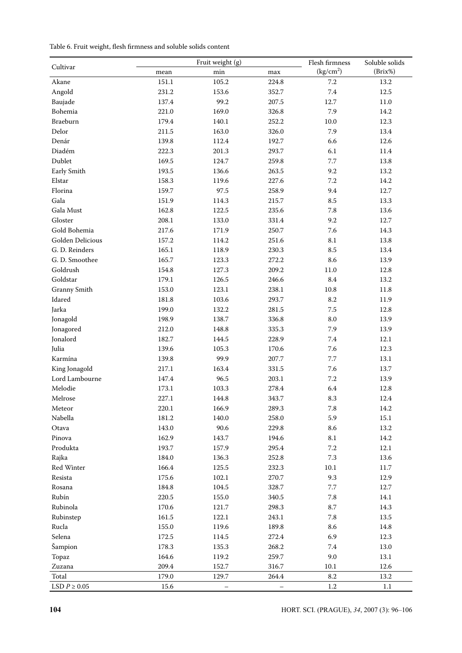Table 6. Fruit weight, flesh firmness and soluble solids content

|                     |       | Fruit weight (g)  | Flesh firmness    | Soluble solids        |         |
|---------------------|-------|-------------------|-------------------|-----------------------|---------|
| Cultivar            | mean  | min               | max               | (kg/cm <sup>2</sup> ) | (Brix%) |
| Akane               | 151.1 | 105.2             | 224.8             | 7.2                   | 13.2    |
| Angold              | 231.2 | 153.6             | 352.7             | 7.4                   | 12.5    |
| Baujade             | 137.4 | 99.2              | 207.5             | 12.7                  | 11.0    |
| Bohemia             | 221.0 | 169.0             | 326.8             | 7.9                   | 14.2    |
| Braeburn            | 179.4 | 140.1             | 252.2             | 10.0                  | 12.3    |
| Delor               | 211.5 | 163.0             | 326.0             | 7.9                   | 13.4    |
| Denár               | 139.8 | 112.4             | 192.7             | 6.6                   | 12.6    |
| Diadém              | 222.3 | 201.3             | 293.7             | 6.1                   | 11.4    |
| Dublet              | 169.5 | 124.7             | 259.8             | 7.7                   | 13.8    |
| Early Smith         | 193.5 | 136.6             | 263.5             | 9.2                   | 13.2    |
| Elstar              | 158.3 | 119.6             | 227.6             | $7.2\,$               | 14.2    |
| Florina             | 159.7 | 97.5              | 258.9             | 9.4                   | 12.7    |
| Gala                | 151.9 | 114.3             | 215.7             | 8.5                   | 13.3    |
| Gala Must           | 162.8 | 122.5             | 235.6             | $7.8\,$               | 13.6    |
| Gloster             | 208.1 | 133.0             | 331.4             | 9.2                   | 12.7    |
| Gold Bohemia        | 217.6 | 171.9             | 250.7             | 7.6                   | 14.3    |
| Golden Delicious    | 157.2 | 114.2             | 251.6             | $\!\!\!\!\!8.1$       | 13.8    |
| G. D. Reinders      | 165.1 | 118.9             | 230.3             | 8.5                   | 13.4    |
| G.D. Smoothee       | 165.7 | 123.3             | 272.2             | 8.6                   | 13.9    |
| Goldrush            | 154.8 | 127.3             | 209.2             | 11.0                  | 12.8    |
| Goldstar            | 179.1 | 126.5             | 246.6             | 8.4                   | 13.2    |
| <b>Granny Smith</b> | 153.0 | 123.1             | 238.1             | 10.8                  | 11.8    |
| Idared              | 181.8 | 103.6             | 293.7             | 8.2                   | 11.9    |
| Jarka               | 199.0 | 132.2             | 281.5             | $7.5\,$               | 12.8    |
| Jonagold            | 198.9 | 138.7             | 336.8             | 8.0                   | 13.9    |
| Jonagored           | 212.0 | 148.8             | 335.3             | 7.9                   | 13.9    |
| Jonalord            | 182.7 | 144.5             | 228.9             | 7.4                   | 12.1    |
| Julia               | 139.6 | 105.3             | 170.6             | 7.6                   | 12.3    |
| Karmína             | 139.8 | 99.9              | 207.7             | 7.7                   | 13.1    |
| King Jonagold       | 217.1 | 163.4             | 331.5             | 7.6                   | 13.7    |
| Lord Lambourne      | 147.4 | 96.5              | 203.1             | $7.2\,$               | 13.9    |
| Melodie             | 173.1 | 103.3             | 278.4             | 6.4                   | 12.8    |
| Melrose             | 227.1 | 144.8             | 343.7             | 8.3                   | 12.4    |
| Meteor              | 220.1 | 166.9             | 289.3             | $7.8\,$               | 14.2    |
| Nabella             | 181.2 | 140.0             | 258.0             | 5.9                   | 15.1    |
| Otava               | 143.0 | 90.6              | 229.8             | 8.6                   | 13.2    |
| Pinova              | 162.9 | 143.7             | 194.6             | $8.1\,$               | 14.2    |
| Produkta            | 193.7 | 157.9             | 295.4             | $7.2\,$               | 12.1    |
| Rajka               | 184.0 | 136.3             | 252.8             | $7.3\,$               | 13.6    |
| Red Winter          | 166.4 | 125.5             | 232.3             | 10.1                  | 11.7    |
| Resista             | 175.6 | 102.1             | 270.7             | 9.3                   | 12.9    |
| Rosana              | 184.8 | 104.5             | 328.7             | $7.7\,$               | 12.7    |
| Rubín               | 220.5 | 155.0             | 340.5             | $7.8\,$               | 14.1    |
| Rubinola            | 170.6 | 121.7             | 298.3             | $8.7\,$               | 14.3    |
| Rubinstep           | 161.5 | 122.1             | 243.1             | $7.8\,$               | 13.5    |
| Rucla               | 155.0 | 119.6             | 189.8             | 8.6                   | 14.8    |
| Selena              | 172.5 | 114.5             | 272.4             | 6.9                   | 12.3    |
| Šampion             | 178.3 | 135.3             | 268.2             | 7.4                   | 13.0    |
|                     | 164.6 | 119.2             | 259.7             | 9.0                   | 13.1    |
| Topaz<br>Zuzana     | 209.4 | 152.7             |                   | $10.1\,$              | 12.6    |
| Total               | 179.0 | 129.7             | 316.7<br>264.4    | $\rm 8.2$             | 13.2    |
| LSD $P \geq 0.05$   | 15.6  | $\qquad \qquad -$ | $\qquad \qquad -$ | 1.2                   | $1.1\,$ |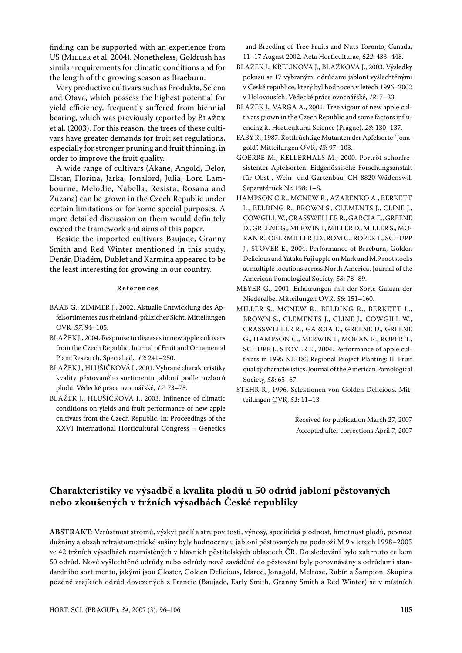finding can be supported with an experience from US (Miller et al. 2004). Nonetheless, Goldrush has similar requirements for climatic conditions and for the length of the growing season as Braeburn.

Very productive cultivars such as Produkta, Selena and Otava, which possess the highest potential for yield efficiency, frequently suffered from biennial bearing, which was previously reported by Blažek et al. (2003). For this reason, the trees of these cultivars have greater demands for fruit set regulations, especially for stronger pruning and fruit thinning, in order to improve the fruit quality.

A wide range of cultivars (Akane, Angold, Delor, Elstar, Florina, Jarka, Jonalord, Julia, Lord Lambourne, Melodie, Nabella, Resista, Rosana and Zuzana) can be grown in the Czech Republic under certain limitations or for some special purposes. A more detailed discussion on them would definitely exceed the framework and aims of this paper.

Beside the imported cultivars Baujade, Granny Smith and Red Winter mentioned in this study, Denár, Diadém, Dublet and Karmína appeared to be the least interesting for growing in our country.

#### **Re f e r e n c e s**

- BAAB G., ZIMMER J., 2002. Aktualle Entwicklung des Apfelsortimentes aus rheinland-pfälzicher Sicht. Mitteilungen OVR, *57*: 94–105.
- BLAŽEK J., 2004. Response to diseases in new apple cultivars from the Czech Republic. Journal of Fruit and Ornamental Plant Research, Special ed., *12*: 241–250.
- Blažek J., Hlušičková I., 2001. Vybrané charakteristiky kvality pěstovaného sortimentu jabloní podle rozborů plodů. Vědecké práce ovocnářské, *17*: 73–78.
- Blažek J., Hlušičková I., 2003. Influence of climatic conditions on yields and fruit performance of new apple cultivars from the Czech Republic. In: Proceedings of the XXVI International Horticultural Congress – Genetics

 and Breeding of Tree Fruits and Nuts Toronto, Canada, 11–17 August 2002. Acta Horticulturae, *622*: 433–448.

- Blažek J., Křelinová J., Blažková J., 2003. Výsledky pokusu se 17 vybranými odrůdami jabloní vyšlechtěnými v České republice, který byl hodnocen v letech 1996–2002 v Holovousích. Vědecké práce ovocnářské, *18*: 7–23.
- BLAŽEK J., VARGA A., 2001. Tree vigour of new apple cultivars grown in the Czech Republic and some factors influencing it. Horticultural Science (Prague), *28*: 130–137.
- Faby R., 1987. Rottfrüchtige Mutanten der Apfelsorte "Jonagold". Mitteilungen OVR, *43*: 97–103.
- GOERRE M., KELLERHALS M., 2000. Portröt schorfresistenter Apfelsorten. Eidgenössische Forschungsanstalt für Obst-, Wein- und Gartenbau, CH-8820 Wädenswil. Separatdruck Nr. 198: 1–8.
- Hampson C.R., McNew R., Azarenko A., Berkett L., Belding R., Brown S., Clements J., Cline J., Cowgill W., Crassweller R., Garcia E., Greene D., Greene G., Merwin I., Miller D., Miller S., Moran R., Obermiller J.D., Rom C., Roper T., Schupp J., STOVER E., 2004. Performance of Braeburn, Golden Delicious and Yataka Fuji apple on Mark and M.9 rootstocks at multiple locations across North America. Journal of the American Pomological Society, *58*: 78–89.
- Meyer G., 2001. Erfahrungen mit der Sorte Galaan der Niederelbe. Mitteilungen OVR, *56*: 151–160.
- Miller S., McNew R., Belding R., Berkett L., Brown S., Clements J., Cline J., Cowgill W., Crassweller R., Garcia E., Greene D., Greene G., Hampson C., Merwin I., Moran R., Roper T., SCHUPP J., STOVER E., 2004. Performance of apple cultivars in 1995 NE-183 Regional Project Planting: II. Fruit quality characteristics. Journal of the American Pomological Society, *58*: 65–67.
- Stehr R., 1996. Selektionen von Golden Delicious. Mitteilungen OVR, *51*: 11–13.

Received for publication March 27, 2007 Accepted after corrections April 7, 2007

# **Charakteristiky ve výsadbě a kvalita plodů u 50 odrůd jabloní pěstovaných nebo zkoušených v tržních výsadbách České republiky**

**Abstrakt**: Vzrůstnost stromů, výskyt padlí a strupovitosti, výnosy, specifická plodnost, hmotnost plodů, pevnost dužniny a obsah refraktometrické sušiny byly hodnoceny u jabloní pěstovaných na podnoži M 9 v letech 1998–2005 ve 42 tržních výsadbách rozmístěných v hlavních pěstitelských oblastech ČR. Do sledování bylo zahrnuto celkem 50 odrůd. Nově vyšlechtěné odrůdy nebo odrůdy nově zaváděné do pěstování byly porovnávány s odrůdami standardního sortimentu, jakými jsou Gloster, Golden Delicious, Idared, Jonagold, Melrose, Rubín a Šampion. Skupina pozdně zrajících odrůd dovezených z Francie (Baujade, Early Smith, Granny Smith a Red Winter) se v místních